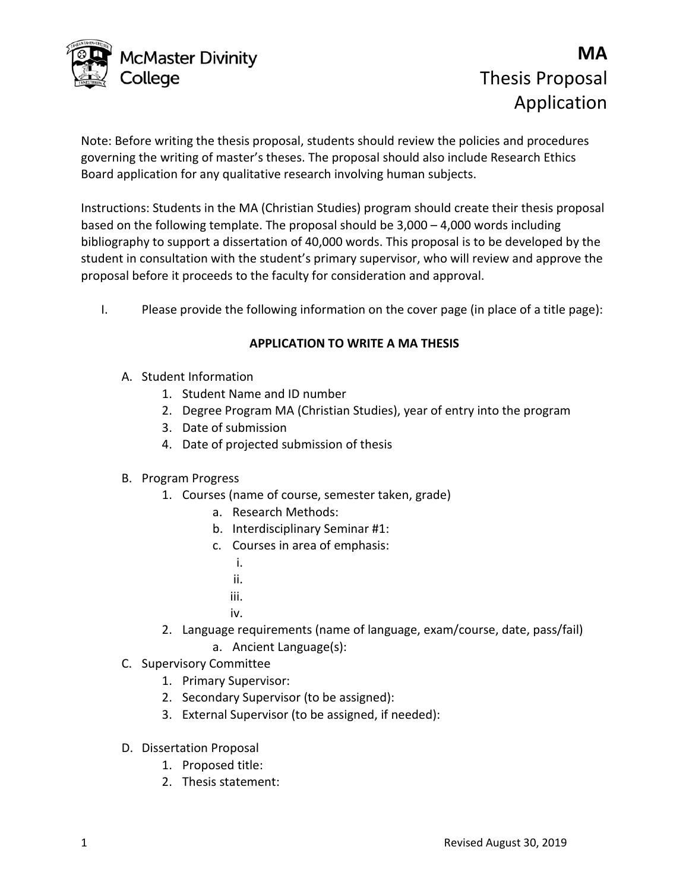

# **MA** Thesis Proposal Application

Note: Before writing the thesis proposal, students should review the policies and procedures governing the writing of master's theses. The proposal should also include Research Ethics Board application for any qualitative research involving human subjects.

Instructions: Students in the MA (Christian Studies) program should create their thesis proposal based on the following template. The proposal should be 3,000 – 4,000 words including bibliography to support a dissertation of 40,000 words. This proposal is to be developed by the student in consultation with the student's primary supervisor, who will review and approve the proposal before it proceeds to the faculty for consideration and approval.

I. Please provide the following information on the cover page (in place of a title page):

# **APPLICATION TO WRITE A MA THESIS**

- A. Student Information
	- 1. Student Name and ID number
	- 2. Degree Program MA (Christian Studies), year of entry into the program
	- 3. Date of submission
	- 4. Date of projected submission of thesis

## B. Program Progress

- 1. Courses (name of course, semester taken, grade)
	- a. Research Methods:
	- b. Interdisciplinary Seminar #1:
	- c. Courses in area of emphasis:
		- i.
		- ii.
		- iii.
		- iv.
- 2. Language requirements (name of language, exam/course, date, pass/fail) a. Ancient Language(s):
- C. Supervisory Committee
	- 1. Primary Supervisor:
	- 2. Secondary Supervisor (to be assigned):
	- 3. External Supervisor (to be assigned, if needed):
- D. Dissertation Proposal
	- 1. Proposed title:
	- 2. Thesis statement: